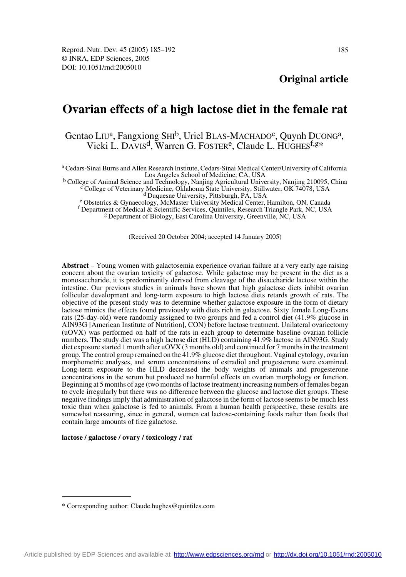# **Ovarian effects of a high lactose diet in the female rat**

# Gentao LIU<sup>a</sup>, Fangxiong SHI<sup>b</sup>, Uriel BLAS-MACHADO<sup>c</sup>, Quynh DUONG<sup>a</sup>, Vicki L. DAVIS<sup>d</sup>, Warren G. FOSTER<sup>e</sup>, Claude L. HUGHES<sup>f,g\*</sup>

a Cedars-Sinai Burns and Allen Research Institute, Cedars-Sinai Medical Center/University of California

Los Angeles School of Medicine, CA, USA<br><sup>b</sup> College of Animal Science and Technology, Nanjing Agricultural University, Nanjing 210095, China<br><sup>c</sup> College of Veterinary Medicine, Oklahoma State University, Stillwater, OK 740

d Duquesne University, Pittsburgh, PA, USA e Obstetrics & Gynaecology, McMaster University Medical Center, Hamilton, ON, Canada f Department of Medical & Scientific Services, Quintiles, Research Triangle Park, NC, USA

g Department of Biology, East Carolina University, Greenville, NC, USA

(Received 20 October 2004; accepted 14 January 2005)

**Abstract** – Young women with galactosemia experience ovarian failure at a very early age raising concern about the ovarian toxicity of galactose. While galactose may be present in the diet as a monosaccharide, it is predominantly derived from cleavage of the disaccharide lactose within the intestine. Our previous studies in animals have shown that high galactose diets inhibit ovarian follicular development and long-term exposure to high lactose diets retards growth of rats. The objective of the present study was to determine whether galactose exposure in the form of dietary lactose mimics the effects found previously with diets rich in galactose*.* Sixty female Long-Evans rats (25-day-old) were randomly assigned to two groups and fed a control diet (41.9% glucose in AIN93G [American Institute of Nutrition], CON) before lactose treatment. Unilateral ovariectomy (uOVX) was performed on half of the rats in each group to determine baseline ovarian follicle numbers. The study diet was a high lactose diet (HLD) containing 41.9% lactose in AIN93G. Study diet exposure started 1 month after uOVX (3 months old) and continued for 7 months in the treatment group. The control group remained on the 41.9% glucose diet throughout. Vaginal cytology, ovarian morphometric analyses, and serum concentrations of estradiol and progesterone were examined. Long-term exposure to the HLD decreased the body weights of animals and progesterone concentrations in the serum but produced no harmful effects on ovarian morphology or function. Beginning at 5 months of age (two months of lactose treatment) increasing numbers of females began to cycle irregularly but there was no difference between the glucose and lactose diet groups. These negative findings imply that administration of galactose in the form of lactose seems to be much less toxic than when galactose is fed to animals. From a human health perspective, these results are somewhat reassuring, since in general, women eat lactose-containing foods rather than foods that contain large amounts of free galactose.

#### **lactose / galactose / ovary / toxicology / rat**

<sup>\*</sup> Corresponding author: Claude.hughes@quintiles.com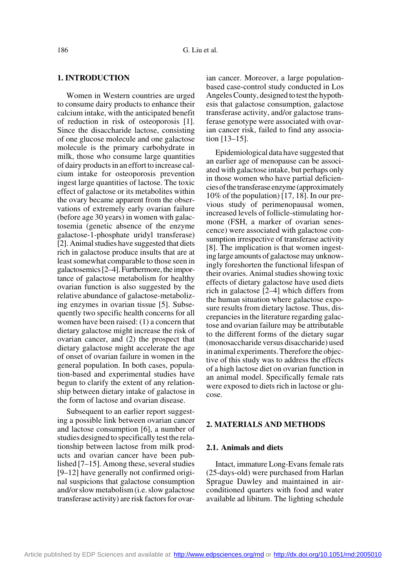# **1. INTRODUCTION**

Women in Western countries are urged to consume dairy products to enhance their calcium intake, with the anticipated benefit of reduction in risk of osteoporosis [1]. Since the disaccharide lactose, consisting of one glucose molecule and one galactose molecule is the primary carbohydrate in milk, those who consume large quantities of dairy products in an effort to increase calcium intake for osteoporosis prevention ingest large quantities of lactose. The toxic effect of galactose or its metabolites within the ovary became apparent from the observations of extremely early ovarian failure (before age 30 years) in women with galactosemia (genetic absence of the enzyme galactose-1-phosphate uridyl transferase) [2]. Animal studies have suggested that diets rich in galactose produce insults that are at least somewhat comparable to those seen in galactosemics [2–4]. Furthermore, the importance of galactose metabolism for healthy ovarian function is also suggested by the relative abundance of galactose-metabolizing enzymes in ovarian tissue [5]. Subsequently two specific health concerns for all women have been raised: (1) a concern that dietary galactose might increase the risk of ovarian cancer, and (2) the prospect that dietary galactose might accelerate the age of onset of ovarian failure in women in the general population. In both cases, population-based and experimental studies have begun to clarify the extent of any relationship between dietary intake of galactose in the form of lactose and ovarian disease.

Subsequent to an earlier report suggesting a possible link between ovarian cancer and lactose consumption [6], a number of studies designed to specifically test the relationship between lactose from milk products and ovarian cancer have been published [7–15]. Among these, several studies [9–12] have generally not confirmed original suspicions that galactose consumption and/or slow metabolism (i.e. slow galactose transferase activity) are risk factors for ovarian cancer. Moreover, a large populationbased case-control study conducted in Los Angeles County, designed to test the hypothesis that galactose consumption, galactose transferase activity, and/or galactose transferase genotype were associated with ovarian cancer risk, failed to find any association [13–15].

Epidemiological data have suggested that an earlier age of menopause can be associated with galactose intake, but perhaps only in those women who have partial deficiencies of the transferase enzyme (approximately 10% of the population) [17, 18]. In our previous study of perimenopausal women, increased levels of follicle-stimulating hormone (FSH, a marker of ovarian senescence) were associated with galactose consumption irrespective of transferase activity [8]. The implication is that women ingesting large amounts of galactose may unknowingly foreshorten the functional lifespan of their ovaries. Animal studies showing toxic effects of dietary galactose have used diets rich in galactose [2–4] which differs from the human situation where galactose exposure results from dietary lactose. Thus, discrepancies in the literature regarding galactose and ovarian failure may be attributable to the different forms of the dietary sugar (monosaccharide versus disaccharide) used in animal experiments. Therefore the objective of this study was to address the effects of a high lactose diet on ovarian function in an animal model. Specifically female rats were exposed to diets rich in lactose or glucose.

# **2. MATERIALS AND METHODS**

## **2.1. Animals and diets**

Intact, immature Long-Evans female rats (25-days-old) were purchased from Harlan Sprague Dawley and maintained in airconditioned quarters with food and water available ad libitum. The lighting schedule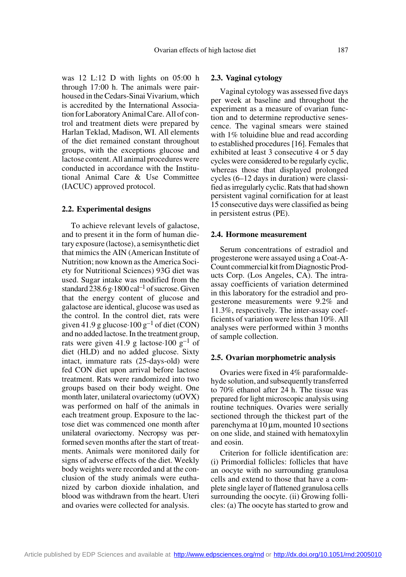was 12 L:12 D with lights on 05:00 h through 17:00 h. The animals were pairhoused in the Cedars-Sinai Vivarium, which is accredited by the International Association for Laboratory Animal Care. All of control and treatment diets were prepared by Harlan Teklad, Madison, WI. All elements of the diet remained constant throughout groups, with the exceptions glucose and lactose content. All animal procedures were conducted in accordance with the Institutional Animal Care & Use Committee (IACUC) approved protocol.

#### **2.2. Experimental designs**

To achieve relevant levels of galactose, and to present it in the form of human dietary exposure (lactose), a semisynthetic diet that mimics the AIN (American Institute of Nutrition; now known as the America Society for Nutritional Sciences) 93G diet was used. Sugar intake was modified from the standard  $238.6 \text{ g} \cdot 1800 \text{ cal}^{-1}$  of sucrose. Given that the energy content of glucose and galactose are identical, glucose was used as the control. In the control diet, rats were given 41.9 g glucose  $\cdot 100$  g<sup>-1</sup> of diet (CON) and no added lactose. In the treatment group, rats were given 41.9 g lactose 100  $g^{-1}$  of diet (HLD) and no added glucose. Sixty intact, immature rats (25-days-old) were fed CON diet upon arrival before lactose treatment. Rats were randomized into two groups based on their body weight. One month later, unilateral ovariectomy (uOVX) was performed on half of the animals in each treatment group. Exposure to the lactose diet was commenced one month after unilateral ovariectomy. Necropsy was performed seven months after the start of treatments. Animals were monitored daily for signs of adverse effects of the diet. Weekly body weights were recorded and at the conclusion of the study animals were euthanized by carbon dioxide inhalation, and blood was withdrawn from the heart. Uteri and ovaries were collected for analysis.

#### **2.3. Vaginal cytology**

Vaginal cytology was assessed five days per week at baseline and throughout the experiment as a measure of ovarian function and to determine reproductive senescence. The vaginal smears were stained with 1% toluidine blue and read according to established procedures [16]. Females that exhibited at least 3 consecutive 4 or 5 day cycles were considered to be regularly cyclic, whereas those that displayed prolonged cycles (6–12 days in duration) were classified as irregularly cyclic. Rats that had shown persistent vaginal cornification for at least 15 consecutive days were classified as being in persistent estrus (PE).

#### **2.4. Hormone measurement**

Serum concentrations of estradiol and progesterone were assayed using a Coat-A-Count commercial kit from Diagnostic Products Corp. (Los Angeles, CA). The intraassay coefficients of variation determined in this laboratory for the estradiol and progesterone measurements were 9.2% and 11.3%, respectively. The inter-assay coefficients of variation were less than 10%. All analyses were performed within 3 months of sample collection.

#### **2.5. Ovarian morphometric analysis**

Ovaries were fixed in 4% paraformaldehyde solution, and subsequently transferred to 70% ethanol after 24 h. The tissue was prepared for light microscopic analysis using routine techniques. Ovaries were serially sectioned through the thickest part of the parenchyma at  $10 \mu m$ , mounted 10 sections on one slide, and stained with hematoxylin and eosin.

Criterion for follicle identification are: (i) Primordial follicles: follicles that have an oocyte with no surrounding granulosa cells and extend to those that have a complete single layer of flattened granulosa cells surrounding the oocyte. (ii) Growing follicles: (a) The oocyte has started to grow and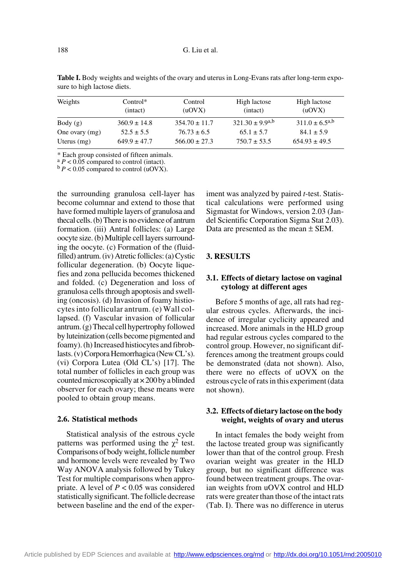| Weights        | $Control*$<br>(intact) | Control<br>(uOVX) | High lactose<br>(intact) | High lactose<br>(uOVX) |
|----------------|------------------------|-------------------|--------------------------|------------------------|
| Body(g)        | $360.9 \pm 14.8$       | $354.70 \pm 11.7$ | $321.30 \pm 9.9^{a,b}$   | $311.0 \pm 6.5^{a,b}$  |
| One ovary (mg) | $52.5 \pm 5.5$         | $76.73 \pm 6.5$   | $65.1 \pm 5.7$           | $84.1 \pm 5.9$         |
| Uterus $(mg)$  | $649.9 \pm 47.7$       | $566.00 \pm 27.3$ | $750.7 \pm 53.5$         | $654.93 \pm 49.5$      |

Table I. Body weights and weights of the ovary and uterus in Long-Evans rats after long-term exposure to high lactose diets.

\* Each group consisted of fifteen animals.

 $\alpha^a P < 0.05$  compared to control (intact).<br>  $\beta P < 0.05$  compared to control (uOVX).

the surrounding granulosa cell-layer has become columnar and extend to those that have formed multiple layers of granulosa and thecal cells. (b) There is no evidence of antrum formation. (iii) Antral follicles: (a) Large oocyte size. (b) Multiple cell layers surrounding the oocyte. (c) Formation of the (fluidfilled) antrum. (iv) Atretic follicles: (a) Cystic follicular degeneration. (b) Oocyte liquefies and zona pellucida becomes thickened and folded. (c) Degeneration and loss of granulosa cells through apoptosis and swelling (oncosis). (d) Invasion of foamy histiocytes into follicular antrum. (e) Wall collapsed. (f) Vascular invasion of follicular antrum. (g) Thecal cell hypertrophy followed by luteinization (cells become pigmented and foamy). (h) Increased histiocytes and fibroblasts. (v) Corpora Hemorrhagica (New CL's). (vi) Corpora Lutea (Old CL's) [17]. The total number of follicles in each group was counted microscopically at  $\times$  200 by a blinded observer for each ovary; these means were pooled to obtain group means.

## **2.6. Statistical methods**

Statistical analysis of the estrous cycle patterns was performed using the  $\chi^2$  test. Comparisons of body weight, follicle number and hormone levels were revealed by Two Way ANOVA analysis followed by Tukey Test for multiple comparisons when appropriate. A level of  $P < 0.05$  was considered statistically significant. The follicle decrease between baseline and the end of the experiment was analyzed by paired *t*-test. Statistical calculations were performed using Sigmastat for Windows, version 2.03 (Jandel Scientific Corporation Sigma Stat 2.03). Data are presented as the mean ± SEM.

# **3. RESULTS**

# **3.1. Effects of dietary lactose on vaginal cytology at different ages**

Before 5 months of age, all rats had regular estrous cycles. Afterwards, the incidence of irregular cyclicity appeared and increased. More animals in the HLD group had regular estrous cycles compared to the control group. However, no significant differences among the treatment groups could be demonstrated (data not shown). Also, there were no effects of uOVX on the estrous cycle of rats in this experiment (data not shown).

# **3.2. Effects of dietary lactose on the body weight, weights of ovary and uterus**

In intact females the body weight from the lactose treated group was significantly lower than that of the control group. Fresh ovarian weight was greater in the HLD group, but no significant difference was found between treatment groups. The ovarian weights from uOVX control and HLD rats were greater than those of the intact rats (Tab. I). There was no difference in uterus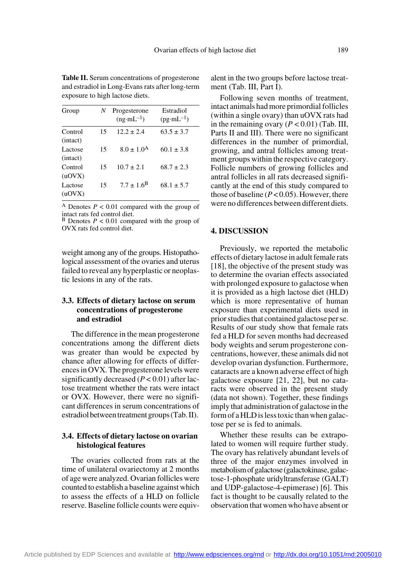| Group               | N  | Progesterone<br>$(ng·mL^{-1})$ | Estradiol<br>$(pg·mL^{-1})$ |
|---------------------|----|--------------------------------|-----------------------------|
| Control<br>(intact) | 15 | $12.2 + 2.4$                   | $63.5 \pm 3.7$              |
| Lactose<br>(intact) | 15 | $8.0 \pm 1.0^{\rm A}$          | $60.1 \pm 3.8$              |
| Control<br>(uOVX)   | 15 | $10.7 + 2.1$                   | $68.7 + 2.3$                |
| Lactose<br>(uOVX)   | 15 | $7.7 \pm 1.6^{\rm B}$          | $68.1 \pm 5.7$              |

**Table II.** Serum concentrations of progesterone and estradiol in Long-Evans rats after long-term exposure to high lactose diets.

A Denotes  $P < 0.01$  compared with the group of intact rats fed control diet. B Denotes *P* < 0.01 compared with the group of

OVX rats fed control diet.

weight among any of the groups. Histopathological assessment of the ovaries and uterus failed to reveal any hyperplastic or neoplastic lesions in any of the rats.

# **3.3. Effects of dietary lactose on serum concentrations of progesterone and estradiol**

The difference in the mean progesterone concentrations among the different diets was greater than would be expected by chance after allowing for effects of differences in OVX. The progesterone levels were significantly decreased  $(P < 0.01)$  after lactose treatment whether the rats were intact or OVX. However, there were no significant differences in serum concentrations of estradiol between treatment groups (Tab. II).

# **3.4. Effects of dietary lactose on ovarian histological features**

The ovaries collected from rats at the time of unilateral ovariectomy at 2 months of age were analyzed. Ovarian follicles were counted to establish a baseline against which to assess the effects of a HLD on follicle reserve. Baseline follicle counts were equivalent in the two groups before lactose treatment (Tab. III, Part I).

Following seven months of treatment, intact animals had more primordial follicles (within a single ovary) than uOVX rats had in the remaining ovary  $(P < 0.01)$  (Tab. III, Parts II and III). There were no significant differences in the number of primordial, growing, and antral follicles among treatment groups within the respective category. Follicle numbers of growing follicles and antral follicles in all rats decreased significantly at the end of this study compared to those of baseline  $(P<0.05)$ . However, there were no differences between different diets.

#### **4. DISCUSSION**

Previously, we reported the metabolic effects of dietary lactose in adult female rats [18], the objective of the present study was to determine the ovarian effects associated with prolonged exposure to galactose when it is provided as a high lactose diet (HLD) which is more representative of human exposure than experimental diets used in prior studies that contained galactose per se. Results of our study show that female rats fed a HLD for seven months had decreased body weights and serum progesterone concentrations, however, these animals did not develop ovarian dysfunction. Furthermore, cataracts are a known adverse effect of high galactose exposure [21, 22], but no cataracts were observed in the present study (data not shown). Together, these findings imply that administration of galactose in the form of a HLD is less toxic than when galactose per se is fed to animals.

Whether these results can be extrapolated to women will require further study. The ovary has relatively abundant levels of three of the major enzymes involved in metabolism of galactose (galactokinase, galactose-1-phosphate uridyltransferase (GALT) and UDP-galactose-4-epimerase) [6]. This fact is thought to be causally related to the observation that women who have absent or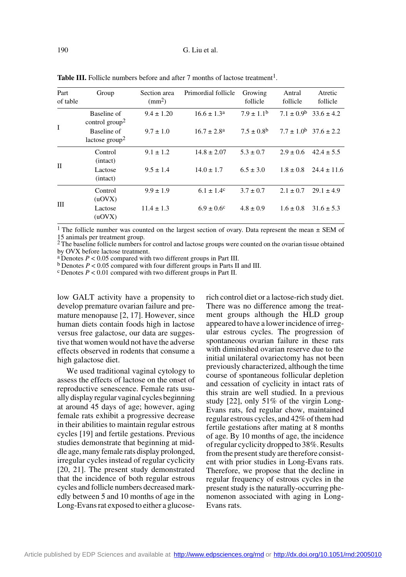| Part<br>of table | Group                                                                                  | Section area<br>$\text{ (mm}^2)$ | Primordial follicle                                    | Growing<br>follicle                            | Antral<br>follicle             | Atretic<br>follicle                                    |
|------------------|----------------------------------------------------------------------------------------|----------------------------------|--------------------------------------------------------|------------------------------------------------|--------------------------------|--------------------------------------------------------|
| Ι                | Baseline of<br>control group <sup>2</sup><br>Baseline of<br>lactose group <sup>2</sup> | $9.4 \pm 1.20$<br>$9.7 \pm 1.0$  | $16.6 \pm 1.3^{\text{a}}$<br>$16.7 \pm 2.8^{\text{a}}$ | $7.9 \pm 1.1^{\rm b}$<br>$7.5 \pm 0.8^{\rm b}$ | $7.1 \pm 0.9^b$                | $33.6 \pm 4.2$<br>$7.7 \pm 1.0^{\rm b}$ 37.6 $\pm$ 2.2 |
| П                | Control<br>(intact)<br>Lactose<br>(intact)                                             | $9.1 \pm 1.2$<br>$9.5 \pm 1.4$   | $14.8 \pm 2.07$<br>$14.0 \pm 1.7$                      | $5.3 \pm 0.7$<br>$6.5 \pm 3.0$                 | $2.9 \pm 0.6$<br>$1.8 \pm 0.8$ | $42.4 \pm 5.5$<br>$24.4 \pm 11.6$                      |
| Ш                | Control<br>(uOVX)<br>Lactose<br>(uOVX)                                                 | $9.9 \pm 1.9$<br>$11.4 \pm 1.3$  | $6.1 \pm 1.4^c$<br>$6.9 \pm 0.6^{\circ}$               | $3.7 \pm 0.7$<br>$4.8 \pm 0.9$                 | $2.1 \pm 0.7$<br>$1.6 \pm 0.8$ | $29.1 \pm 4.9$<br>$31.6 \pm 5.3$                       |

**Table III.** Follicle numbers before and after 7 months of lactose treatment<sup>1</sup>.

<sup>1</sup> The follicle number was counted on the largest section of ovary. Data represent the mean  $\pm$  SEM of 15 animals per treatment group.

<sup>2</sup> The baseline follicle numbers for control and lactose groups were counted on the ovarian tissue obtained by OVX before lactose treatment.<br>a Denotes  $P < 0.05$  compared with two different groups in Part III.

<sup>b</sup> Denotes  $P < 0.05$  compared with four different groups in Parts II and III. <sup>c</sup> Denotes  $P < 0.01$  compared with two different groups in Part II.

low GALT activity have a propensity to develop premature ovarian failure and premature menopause [2, 17]. However, since human diets contain foods high in lactose versus free galactose, our data are suggestive that women would not have the adverse effects observed in rodents that consume a high galactose diet.

We used traditional vaginal cytology to assess the effects of lactose on the onset of reproductive senescence. Female rats usually display regular vaginal cycles beginning at around 45 days of age; however, aging female rats exhibit a progressive decrease in their abilities to maintain regular estrous cycles [19] and fertile gestations. Previous studies demonstrate that beginning at middle age, many female rats display prolonged, irregular cycles instead of regular cyclicity [20, 21]. The present study demonstrated that the incidence of both regular estrous cycles and follicle numbers decreased markedly between 5 and 10 months of age in the Long-Evans rat exposed to either a glucoserich control diet or a lactose-rich study diet. There was no difference among the treatment groups although the HLD group appeared to have a lower incidence of irregular estrous cycles. The progression of spontaneous ovarian failure in these rats with diminished ovarian reserve due to the initial unilateral ovariectomy has not been previously characterized, although the time course of spontaneous follicular depletion and cessation of cyclicity in intact rats of this strain are well studied. In a previous study [22], only 51% of the virgin Long-Evans rats, fed regular chow, maintained regular estrous cycles, and 42% of them had fertile gestations after mating at 8 months of age. By 10 months of age, the incidence of regular cyclicity dropped to 38%. Results from the present study are therefore consistent with prior studies in Long-Evans rats. Therefore, we propose that the decline in regular frequency of estrous cycles in the present study is the naturally-occurring phenomenon associated with aging in Long-Evans rats.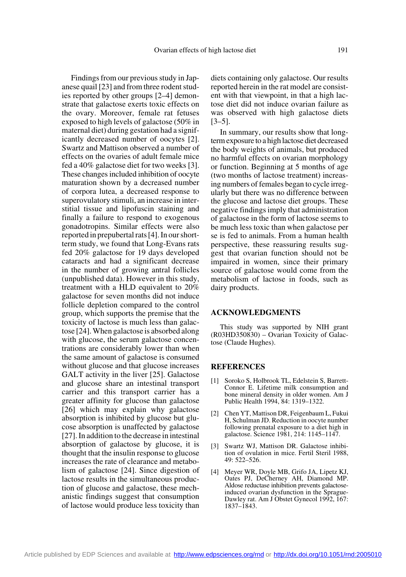Findings from our previous study in Japanese quail [23] and from three rodent studies reported by other groups [2–4] demonstrate that galactose exerts toxic effects on the ovary. Moreover, female rat fetuses exposed to high levels of galactose (50% in maternal diet) during gestation had a significantly decreased number of oocytes [2]. Swartz and Mattison observed a number of effects on the ovaries of adult female mice fed a 40% galactose diet for two weeks [3]. These changes included inhibition of oocyte maturation shown by a decreased number of corpora lutea, a decreased response to superovulatory stimuli, an increase in interstitial tissue and lipofuscin staining and finally a failure to respond to exogenous gonadotropins. Similar effects were also reported in prepubertal rats [4]. In our shortterm study, we found that Long-Evans rats fed 20% galactose for 19 days developed cataracts and had a significant decrease in the number of growing antral follicles (unpublished data). However in this study, treatment with a HLD equivalent to 20% galactose for seven months did not induce follicle depletion compared to the control group, which supports the premise that the toxicity of lactose is much less than galactose [24]. When galactose is absorbed along with glucose, the serum galactose concentrations are considerably lower than when the same amount of galactose is consumed without glucose and that glucose increases GALT activity in the liver [25]. Galactose and glucose share an intestinal transport carrier and this transport carrier has a greater affinity for glucose than galactose [26] which may explain why galactose absorption is inhibited by glucose but glucose absorption is unaffected by galactose [27]. In addition to the decrease in intestinal absorption of galactose by glucose, it is thought that the insulin response to glucose increases the rate of clearance and metabolism of galactose [24]. Since digestion of lactose results in the simultaneous production of glucose and galactose, these mechanistic findings suggest that consumption of lactose would produce less toxicity than

diets containing only galactose. Our results reported herein in the rat model are consistent with that viewpoint, in that a high lactose diet did not induce ovarian failure as was observed with high galactose diets [3–5].

In summary, our results show that longterm exposure to a high lactose diet decreased the body weights of animals, but produced no harmful effects on ovarian morphology or function. Beginning at 5 months of age (two months of lactose treatment) increasing numbers of females began to cycle irregularly but there was no difference between the glucose and lactose diet groups. These negative findings imply that administration of galactose in the form of lactose seems to be much less toxic than when galactose per se is fed to animals. From a human health perspective, these reassuring results suggest that ovarian function should not be impaired in women, since their primary source of galactose would come from the metabolism of lactose in foods, such as dairy products.

#### **ACKNOWLEDGMENTS**

This study was supported by NIH grant (R03HD350830) – Ovarian Toxicity of Galactose (Claude Hughes).

## **REFERENCES**

- [1] Soroko S, Holbrook TL, Edelstein S, Barrett-Connor E. Lifetime milk consumption and bone mineral density in older women. Am J Public Health 1994, 84: 1319–1322.
- [2] Chen YT, Mattison DR, Feigenbaum L, Fukui H, Schulman JD. Reduction in oocyte number following prenatal exposure to a diet high in galactose. Science 1981, 214: 1145–1147.
- [3] Swartz WJ, Mattison DR. Galactose inhibition of ovulation in mice. Fertil Steril 1988, 49: 522–526.
- [4] Meyer WR, Doyle MB, Grifo JA, Lipetz KJ, Oates PJ, DeCherney AH, Diamond MP. Aldose reductase inhibition prevents galactoseinduced ovarian dysfunction in the Sprague-Dawley rat. Am J Obstet Gynecol 1992, 167: 1837–1843.